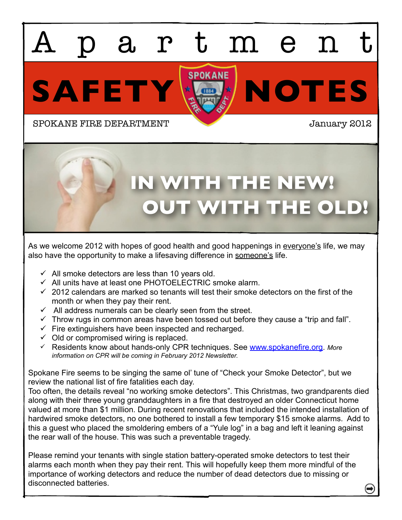# SAFETY **X** artmen SPOKANE FIRE DEPARTMENT **SPOKANE FIRE DEPARTMENT**

## **OUT WITH THE OLD! IN WITH THE NEW!**

As we welcome 2012 with hopes of good health and good happenings in everyone's life, we may also have the opportunity to make a lifesaving difference in someone's life.

- $\checkmark$  All smoke detectors are less than 10 years old.
- $\checkmark$  All units have at least one PHOTOELECTRIC smoke alarm.
- $\checkmark$  2012 calendars are marked so tenants will test their smoke detectors on the first of the month or when they pay their rent.
- $\checkmark$  All address numerals can be clearly seen from the street.
- $\checkmark$  Throw rugs in common areas have been tossed out before they cause a "trip and fall".
- $\checkmark$  Fire extinguishers have been inspected and recharged.
- $\checkmark$  Old or compromised wiring is replaced.
- Residents know about hands-only CPR techniques. See [www.spokanefire.org.](http://www.spokanefire.org) *More information on CPR will be coming in February 2012 Newsletter.*

Spokane Fire seems to be singing the same ol' tune of "Check your Smoke Detector", but we review the national list of fire fatalities each day.

Too often, the details reveal "no working smoke detectors". This Christmas, two grandparents died along with their three young granddaughters in a fire that destroyed an older Connecticut home valued at more than \$1 million. During recent renovations that included the intended installation of hardwired smoke detectors, no one bothered to install a few temporary \$15 smoke alarms. Add to this a guest who placed the smoldering embers of a "Yule log" in a bag and left it leaning against the rear wall of the house. This was such a preventable tragedy.

Please remind your tenants with single station battery-operated smoke detectors to test their alarms each month when they pay their rent. This will hopefully keep them more mindful of the importance of working detectors and reduce the number of dead detectors due to missing or disconnected batteries.